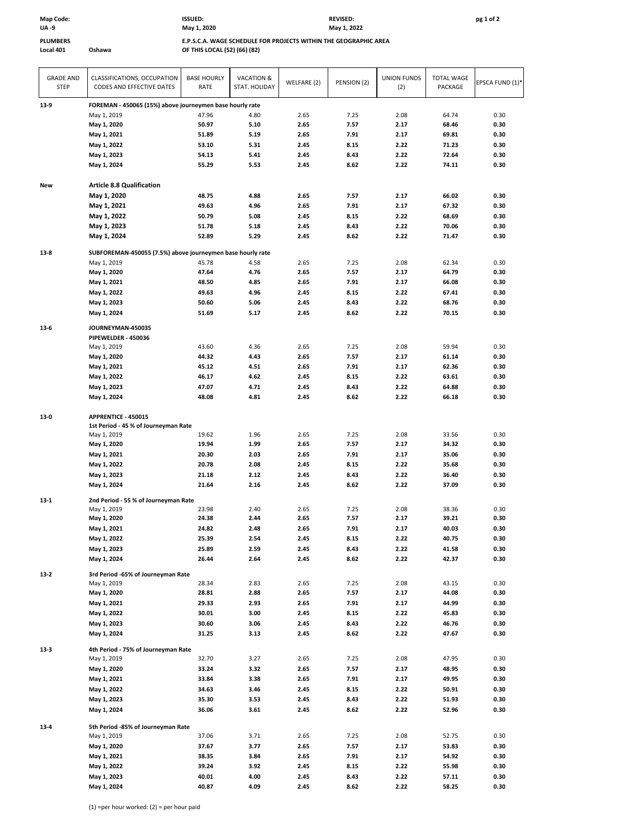## **Map Code: ISSUED: REVISED: pg 1 of 2**

**UA ‐9 May 1, 2022 May 1, 2020**

**PLUMBERS E.P.S.C.A. WAGE SCHEDULE FOR PROJECTS WITHIN THE GEOGRAPHIC AREA Local 401 Oshawa OF THIS LOCAL (52) (66) (82)**

| <b>GRADE AND</b><br><b>STEP</b> | CLASSIFICATIONS, OCCUPATION<br>CODES AND EFFECTIVE DATES   | <b>BASE HOURLY</b><br>RATE | <b>VACATION &amp;</b><br>STAT. HOLIDAY | WELFARE (2)  | PENSION (2)  | <b>UNION FUNDS</b><br>(2) | <b>TOTAL WAGE</b><br>PACKAGE | EPSCA FUND (1)* |
|---------------------------------|------------------------------------------------------------|----------------------------|----------------------------------------|--------------|--------------|---------------------------|------------------------------|-----------------|
| 13-9                            | FOREMAN - 450065 (15%) above journeymen base hourly rate   |                            |                                        |              |              |                           |                              |                 |
|                                 | May 1, 2019                                                | 47.96                      | 4.80                                   | 2.65         | 7.25         | 2.08                      | 64.74                        | 0.30            |
|                                 | May 1, 2020                                                | 50.97                      | 5.10                                   | 2.65         | 7.57         | 2.17                      | 68.46                        | 0.30            |
|                                 | May 1, 2021                                                | 51.89                      | 5.19                                   | 2.65         | 7.91         | 2.17                      | 69.81                        | 0.30            |
|                                 | May 1, 2022                                                | 53.10                      | 5.31                                   | 2.45         | 8.15         | 2.22                      | 71.23                        | 0.30            |
|                                 | May 1, 2023                                                | 54.13                      | 5.41                                   | 2.45         | 8.43         | 2.22                      | 72.64                        | 0.30            |
|                                 | May 1, 2024                                                | 55.29                      | 5.53                                   | 2.45         | 8.62         | 2.22                      | 74.11                        | 0.30            |
| New                             | <b>Article 8.8 Qualification</b>                           |                            |                                        |              |              |                           |                              |                 |
|                                 | May 1, 2020                                                | 48.75                      | 4.88                                   | 2.65         | 7.57         | 2.17                      | 66.02                        | 0.30            |
|                                 | May 1, 2021                                                | 49.63                      | 4.96                                   | 2.65         | 7.91         | 2.17                      | 67.32                        | 0.30            |
|                                 | May 1, 2022                                                | 50.79                      | 5.08                                   | 2.45         | 8.15         | 2.22                      | 68.69                        | 0.30            |
|                                 | May 1, 2023                                                | 51.78                      | 5.18                                   | 2.45         | 8.43         | 2.22                      | 70.06                        | 0.30            |
|                                 | May 1, 2024                                                | 52.89                      | 5.29                                   | 2.45         | 8.62         | 2.22                      | 71.47                        | 0.30            |
| $13-8$                          | SUBFOREMAN-450055 (7.5%) above journeymen base hourly rate |                            |                                        |              |              |                           |                              |                 |
|                                 | May 1, 2019                                                | 45.78                      | 4.58                                   | 2.65         | 7.25         | 2.08                      | 62.34                        | 0.30            |
|                                 | May 1, 2020                                                | 47.64                      | 4.76                                   | 2.65         | 7.57         | 2.17                      | 64.79                        | 0.30            |
|                                 | May 1, 2021                                                | 48.50                      | 4.85                                   | 2.65         | 7.91         | 2.17                      | 66.08                        | 0.30            |
|                                 | May 1, 2022                                                | 49.63                      | 4.96                                   | 2.45         | 8.15         | 2.22                      | 67.41                        | 0.30            |
|                                 | May 1, 2023                                                | 50.60                      | 5.06                                   | 2.45         | 8.43         | 2.22                      | 68.76                        | 0.30            |
|                                 | May 1, 2024                                                | 51.69                      | 5.17                                   | 2.45         | 8.62         | 2.22                      | 70.15                        | 0.30            |
| $13-6$                          | JOURNEYMAN-450035                                          |                            |                                        |              |              |                           |                              |                 |
|                                 | PIPEWELDER - 450036                                        |                            |                                        |              |              |                           |                              |                 |
|                                 | May 1, 2019                                                | 43.60                      | 4.36                                   | 2.65         | 7.25         | 2.08                      | 59.94                        | 0.30            |
|                                 | May 1, 2020                                                | 44.32                      | 4.43                                   | 2.65         | 7.57         | 2.17                      | 61.14                        | 0.30            |
|                                 | May 1, 2021                                                | 45.12                      | 4.51                                   | 2.65         | 7.91         | 2.17                      | 62.36                        | 0.30            |
|                                 | May 1, 2022                                                | 46.17                      | 4.62                                   | 2.45         | 8.15         | 2.22                      | 63.61                        | 0.30            |
|                                 | May 1, 2023                                                | 47.07                      | 4.71                                   | 2.45         | 8.43         | 2.22                      | 64.88                        | 0.30            |
|                                 | May 1, 2024                                                | 48.08                      | 4.81                                   | 2.45         | 8.62         | 2.22                      | 66.18                        | 0.30            |
| $13-0$                          | APPRENTICE - 450015                                        |                            |                                        |              |              |                           |                              |                 |
|                                 | 1st Period - 45 % of Journeyman Rate                       |                            |                                        |              |              |                           |                              |                 |
|                                 | May 1, 2019                                                | 19.62                      | 1.96                                   | 2.65         | 7.25         | 2.08                      | 33.56                        | 0.30            |
|                                 | May 1, 2020                                                | 19.94                      | 1.99                                   | 2.65         | 7.57         | 2.17                      | 34.32                        | 0.30            |
|                                 | May 1, 2021                                                | 20.30                      | 2.03                                   | 2.65         | 7.91         | 2.17                      | 35.06                        | 0.30            |
|                                 | May 1, 2022                                                | 20.78                      | 2.08                                   | 2.45         | 8.15         | 2.22                      | 35.68                        | 0.30            |
|                                 | May 1, 2023                                                | 21.18                      | 2.12                                   | 2.45         | 8.43         | 2.22                      | 36.40                        | 0.30            |
|                                 | May 1, 2024                                                | 21.64                      | 2.16                                   | 2.45         | 8.62         | 2.22                      | 37.09                        | 0.30            |
| $13 - 1$                        | 2nd Period - 55 % of Journeyman Rate                       |                            |                                        |              |              |                           |                              |                 |
|                                 | May 1, 2019                                                | 23.98                      | 2.40                                   | 2.65         | 7.25         | 2.08                      | 38.36                        | 0.30            |
|                                 | May 1, 2020                                                | 24.38                      | 2.44                                   | 2.65         | 7.57         | 2.17                      | 39.21                        | 0.30            |
|                                 | May 1, 2021                                                | 24.82                      | 2.48                                   | 2.65         | 7.91         | 2.17                      | 40.03                        | 0.30            |
|                                 | May 1, 2022                                                | 25.39                      | 2.54                                   | 2.45         | 8.15         | 2.22                      | 40.75                        | 0.30            |
|                                 | May 1, 2023                                                | 25.89                      | 2.59                                   | 2.45         | 8.43         | 2.22                      | 41.58                        | 0.30            |
|                                 | May 1, 2024                                                | 26.44                      | 2.64                                   | 2.45         | 8.62         | 2.22                      | 42.37                        | 0.30            |
| $13-2$                          | 3rd Period -65% of Journeyman Rate                         |                            |                                        |              |              |                           |                              |                 |
|                                 | May 1, 2019                                                | 28.34                      | 2.83                                   | 2.65         | 7.25         | 2.08                      | 43.15                        | 0.30            |
|                                 | May 1, 2020                                                | 28.81                      | 2.88                                   | 2.65         | 7.57         | 2.17                      | 44.08                        | 0.30            |
|                                 | May 1, 2021                                                | 29.33                      | 2.93                                   | 2.65         | 7.91         | 2.17                      | 44.99                        | 0.30            |
|                                 | May 1, 2022                                                | 30.01                      | 3.00                                   | 2.45         | 8.15         | 2.22                      | 45.83                        | 0.30            |
|                                 | May 1, 2023<br>May 1, 2024                                 | 30.60<br>31.25             | 3.06<br>3.13                           | 2.45<br>2.45 | 8.43<br>8.62 | 2.22<br>2.22              | 46.76<br>47.67               | 0.30<br>0.30    |
|                                 |                                                            |                            |                                        |              |              |                           |                              |                 |
| $13-3$                          | 4th Period - 75% of Journeyman Rate<br>May 1, 2019         | 32.70                      | 3.27                                   |              | 7.25         | 2.08                      | 47.95                        | 0.30            |
|                                 |                                                            |                            |                                        | 2.65         |              |                           |                              |                 |
|                                 | May 1, 2020                                                | 33.24                      | 3.32                                   | 2.65         | 7.57         | 2.17                      | 48.95                        | 0.30            |
|                                 | May 1, 2021                                                | 33.84                      | 3.38                                   | 2.65         | 7.91         | 2.17                      | 49.95                        | 0.30            |
|                                 | May 1, 2022                                                | 34.63                      | 3.46                                   | 2.45         | 8.15         | 2.22                      | 50.91                        | 0.30            |
|                                 | May 1, 2023<br>May 1, 2024                                 | 35.30<br>36.06             | 3.53<br>3.61                           | 2.45<br>2.45 | 8.43<br>8.62 | 2.22<br>2.22              | 51.93<br>52.96               | 0.30<br>0.30    |
|                                 |                                                            |                            |                                        |              |              |                           |                              |                 |
| $13 - 4$                        | 5th Period -85% of Journeyman Rate<br>May 1, 2019          | 37.06                      | 3.71                                   | 2.65         | 7.25         | 2.08                      | 52.75                        | 0.30            |
|                                 | May 1, 2020                                                | 37.67                      | 3.77                                   | 2.65         | 7.57         | 2.17                      | 53.83                        | 0.30            |
|                                 | May 1, 2021                                                | 38.35                      | 3.84                                   | 2.65         | 7.91         | 2.17                      | 54.92                        | 0.30            |
|                                 | May 1, 2022                                                | 39.24                      | 3.92                                   | 2.45         | 8.15         | 2.22                      | 55.98                        | 0.30            |
|                                 | May 1, 2023                                                | 40.01                      | 4.00                                   | 2.45         | 8.43         | 2.22                      | 57.11                        | 0.30            |
|                                 | May 1, 2024                                                | 40.87                      | 4.09                                   | 2.45         | 8.62         | 2.22                      | 58.25                        | 0.30            |
|                                 |                                                            |                            |                                        |              |              |                           |                              |                 |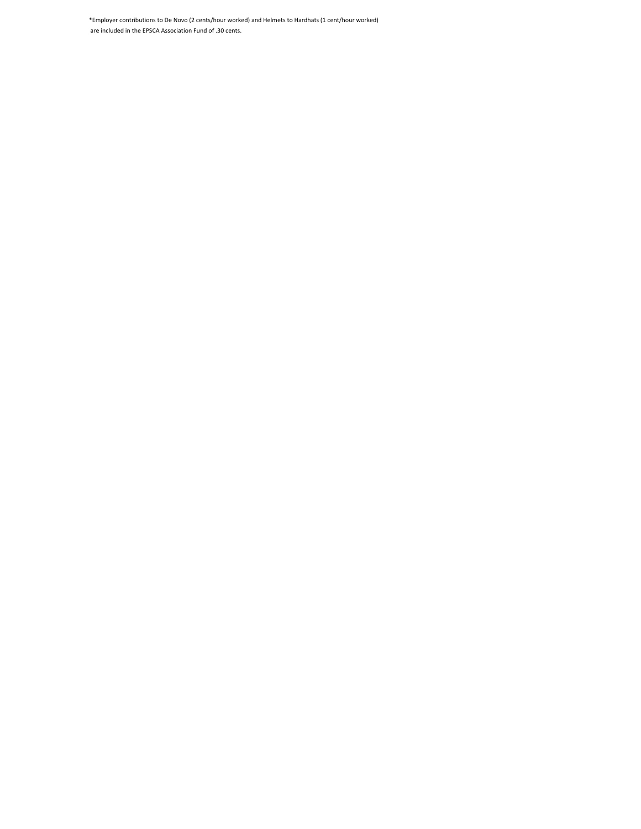\*Employer contributions to De Novo (2 cents/hour worked) and Helmets to Hardhats (1 cent/hour worked) are included in the EPSCA Association Fund of .30 cents.